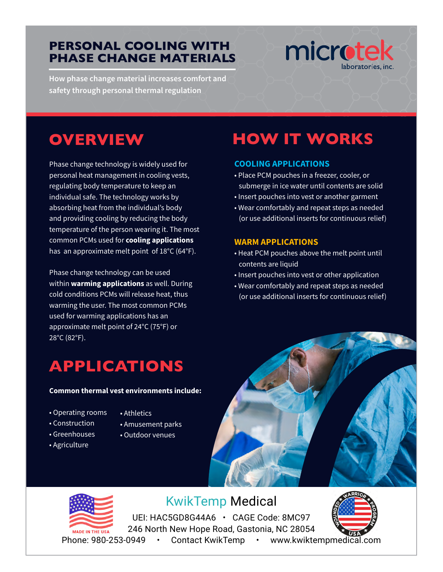#### **PERSONAL COOLING WITH PHASE CHANGE MATERIALS**

**How phase change material increases comfort and safety through personal thermal regulation**

# microtek

## **OVERVIEW**

Phase change technology is widely used for personal heat management in cooling vests, regulating body temperature to keep an individual safe. The technology works by absorbing heat from the individual's body and providing cooling by reducing the body temperature of the person wearing it. The most common PCMs used for **cooling applications** has an approximate melt point of 18°C (64°F).

Phase change technology can be used within **warming applications** as well. During cold conditions PCMs will release heat, thus warming the user. The most common PCMs used for warming applications has an approximate melt point of 24°C (75°F) or 28°C (82°F).

## **APPLICATIONS**

#### **Common thermal vest environments include:**

- Operating rooms
- Construction
- Athletics
- 
- Greenhouses
- 
- Agriculture
- Amusement parks
- Outdoor venues
- 



**COOLING APPLICATIONS**

**WARM APPLICATIONS**

contents are liquid

• Place PCM pouches in a freezer, cooler, or submerge in ice water until contents are solid • Insert pouches into vest or another garment • Wear comfortably and repeat steps as needed (or use additional inserts for continuous relief)

**HOW IT WORKS**

• Heat PCM pouches above the melt point until

• Insert pouches into vest or other application • Wear comfortably and repeat steps as needed (or use additional inserts for continuous relief)



KwikTemp Medical

UEI: HAC5GD8G44A6 • CAGE Code: 8MC97 Revision Li 246 North New Hope Road, Gastonia, NC 28054 Phone: 980-253-0949 • [Contact KwikTemp](https://www.kwiktempmedical.com/contact/microtek) • [www.kwiktempmedical.com](https://www.kwiktempmedical.com/)